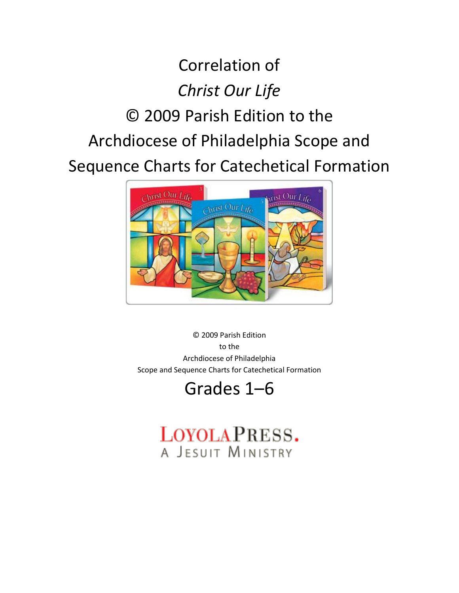# Correlation of *Christ Our Life* © 2009 Parish Edition to the Archdiocese of Philadelphia Scope and Sequence Charts for Catechetical Formation



© 2009 Parish Edition to the Archdiocese of Philadelphia Scope and Sequence Charts for Catechetical Formation

# Grades 1–6

# LOYOLAPRESS. A JESUIT MINISTRY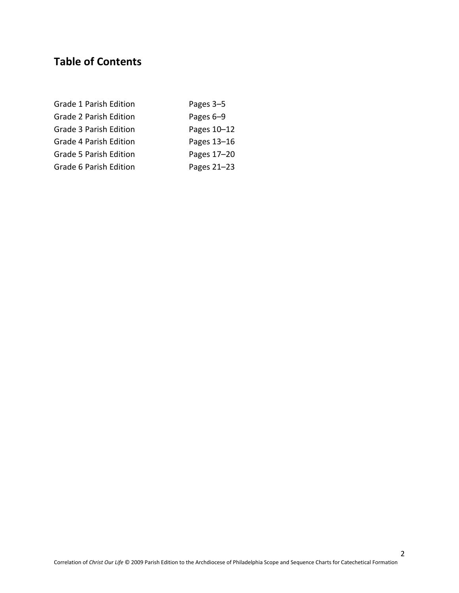# **Table of Contents**

| Grade 1 Parish Edition        | Pages 3-5   |
|-------------------------------|-------------|
| Grade 2 Parish Edition        | Pages 6-9   |
| Grade 3 Parish Edition        | Pages 10-12 |
| <b>Grade 4 Parish Edition</b> | Pages 13-16 |
| <b>Grade 5 Parish Edition</b> | Pages 17-20 |
| Grade 6 Parish Edition        | Pages 21-23 |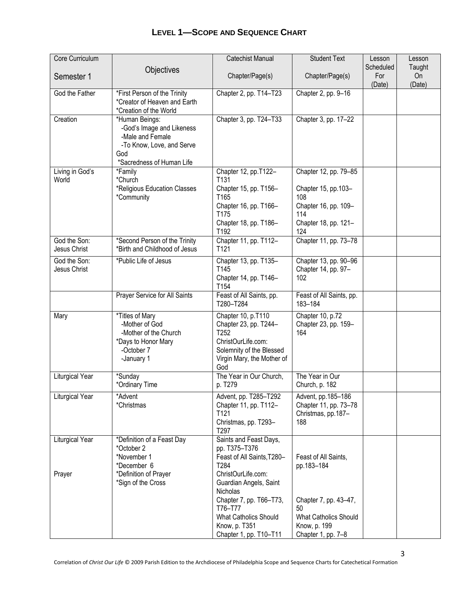| Core Curriculum        |                                               | <b>Catechist Manual</b>               | <b>Student Text</b>                 | Lesson    | Lesson |
|------------------------|-----------------------------------------------|---------------------------------------|-------------------------------------|-----------|--------|
|                        | Objectives                                    |                                       |                                     | Scheduled | Taught |
| Semester 1             |                                               | Chapter/Page(s)                       | Chapter/Page(s)                     | For       | On     |
|                        |                                               |                                       |                                     | (Date)    | (Date) |
| God the Father         | *First Person of the Trinity                  | Chapter 2, pp. T14-T23                | Chapter 2, pp. 9-16                 |           |        |
|                        | *Creator of Heaven and Earth                  |                                       |                                     |           |        |
|                        | *Creation of the World                        |                                       |                                     |           |        |
| Creation               | *Human Beings:                                | Chapter 3, pp. T24-T33                | Chapter 3, pp. 17-22                |           |        |
|                        | -God's Image and Likeness<br>-Male and Female |                                       |                                     |           |        |
|                        | -To Know, Love, and Serve                     |                                       |                                     |           |        |
|                        | God                                           |                                       |                                     |           |        |
|                        | *Sacredness of Human Life                     |                                       |                                     |           |        |
| Living in God's        | *Family                                       | Chapter 12, pp.T122-                  | Chapter 12, pp. 79-85               |           |        |
| World                  | *Church                                       | T131                                  |                                     |           |        |
|                        | *Religious Education Classes                  | Chapter 15, pp. T156-                 | Chapter 15, pp.103-                 |           |        |
|                        | *Community                                    | T165                                  | 108                                 |           |        |
|                        |                                               | Chapter 16, pp. T166-                 | Chapter 16, pp. 109-                |           |        |
|                        |                                               | T175                                  | 114                                 |           |        |
|                        |                                               | Chapter 18, pp. T186-                 | Chapter 18, pp. 121-                |           |        |
|                        |                                               | T192                                  | 124                                 |           |        |
| God the Son:           | *Second Person of the Trinity                 | Chapter 11, pp. T112-                 | Chapter 11, pp. 73-78               |           |        |
| Jesus Christ           | *Birth and Childhood of Jesus                 | T121                                  |                                     |           |        |
| God the Son:           | *Public Life of Jesus                         | Chapter 13, pp. T135-                 | Chapter 13, pp. 90-96               |           |        |
| Jesus Christ           |                                               | T145                                  | Chapter 14, pp. 97-                 |           |        |
|                        |                                               | Chapter 14, pp. T146-                 | 102                                 |           |        |
|                        |                                               | T154                                  |                                     |           |        |
|                        | Prayer Service for All Saints                 | Feast of All Saints, pp.<br>T280-T284 | Feast of All Saints, pp.<br>183-184 |           |        |
|                        |                                               |                                       |                                     |           |        |
| Mary                   | *Titles of Mary                               | Chapter 10, p.T110                    | Chapter 10, p.72                    |           |        |
|                        | -Mother of God                                | Chapter 23, pp. T244-<br>T252         | Chapter 23, pp. 159-<br>164         |           |        |
|                        | -Mother of the Church<br>*Days to Honor Mary  | ChristOurLife.com:                    |                                     |           |        |
|                        | -October 7                                    | Solemnity of the Blessed              |                                     |           |        |
|                        | -January 1                                    | Virgin Mary, the Mother of            |                                     |           |        |
|                        |                                               | God                                   |                                     |           |        |
| <b>Liturgical Year</b> | *Sunday                                       | The Year in Our Church,               | The Year in Our                     |           |        |
|                        | *Ordinary Time                                | p. T279                               | Church, p. 182                      |           |        |
| Liturgical Year        | *Advent                                       | Advent, pp. T285-T292                 | Advent, pp.185-186                  |           |        |
|                        | *Christmas                                    | Chapter 11, pp. T112-                 | Chapter 11, pp. 73-78               |           |        |
|                        |                                               | T <sub>121</sub>                      | Christmas, pp.187-                  |           |        |
|                        |                                               | Christmas, pp. T293-                  | 188                                 |           |        |
|                        |                                               | T297                                  |                                     |           |        |
| Liturgical Year        | *Definition of a Feast Day                    | Saints and Feast Days,                |                                     |           |        |
|                        | *October 2                                    | pp. T375-T376                         |                                     |           |        |
|                        | *November 1                                   | Feast of All Saints, T280-<br>T284    | Feast of All Saints.                |           |        |
| Prayer                 | *December 6<br>*Definition of Prayer          | ChristOurLife.com:                    | pp.183-184                          |           |        |
|                        | *Sign of the Cross                            | Guardian Angels, Saint                |                                     |           |        |
|                        |                                               | Nicholas                              |                                     |           |        |
|                        |                                               | Chapter 7, pp. T66-T73,               | Chapter 7, pp. 43-47,               |           |        |
|                        |                                               | T76-T77                               | 50                                  |           |        |
|                        |                                               | What Catholics Should                 | <b>What Catholics Should</b>        |           |        |
|                        |                                               | Know, p. T351                         | Know, p. 199                        |           |        |
|                        |                                               | Chapter 1, pp. T10-T11                | Chapter 1, pp. 7-8                  |           |        |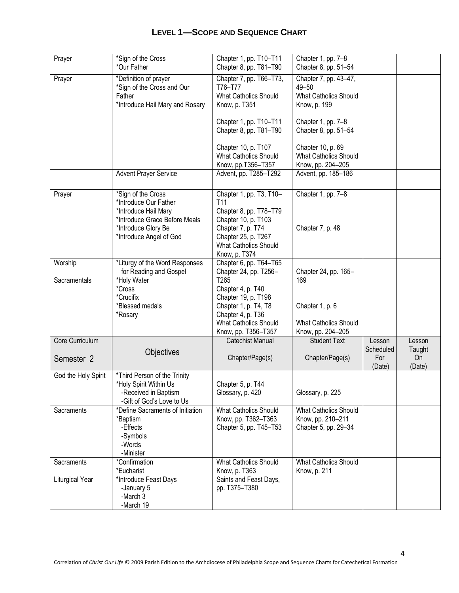| Prayer                        | *Sign of the Cross<br>*Our Father                                                                           | Chapter 1, pp. T10-T11<br>Chapter 8, pp. T81-T90                                                                                           | Chapter 1, pp. 7-8<br>Chapter 8, pp. 51-54                                     |                     |                  |
|-------------------------------|-------------------------------------------------------------------------------------------------------------|--------------------------------------------------------------------------------------------------------------------------------------------|--------------------------------------------------------------------------------|---------------------|------------------|
| Prayer                        | *Definition of prayer<br>*Sign of the Cross and Our<br>Father<br>*Introduce Hail Mary and Rosary            | Chapter 7, pp. T66-T73,<br>T76-T77<br><b>What Catholics Should</b><br>Know, p. T351                                                        | Chapter 7, pp. 43-47,<br>49-50<br><b>What Catholics Should</b><br>Know, p. 199 |                     |                  |
|                               |                                                                                                             | Chapter 1, pp. T10-T11<br>Chapter 8, pp. T81-T90                                                                                           | Chapter 1, pp. 7-8<br>Chapter 8, pp. 51-54                                     |                     |                  |
|                               |                                                                                                             | Chapter 10, p. T107<br>What Catholics Should<br>Know, pp.T356-T357                                                                         | Chapter 10, p. 69<br>What Catholics Should<br>Know, pp. 204-205                |                     |                  |
|                               | <b>Advent Prayer Service</b>                                                                                | Advent, pp. T285-T292                                                                                                                      | Advent, pp. 185-186                                                            |                     |                  |
| Prayer                        | *Sign of the Cross<br>*Introduce Our Father                                                                 | Chapter 1, pp. T3, T10-<br>T11                                                                                                             | Chapter 1, pp. 7-8                                                             |                     |                  |
|                               | *Introduce Hail Mary<br>*Introduce Grace Before Meals<br>*Introduce Glory Be<br>*Introduce Angel of God     | Chapter 8, pp. T78-T79<br>Chapter 10, p. T103<br>Chapter 7, p. T74<br>Chapter 25, p. T267<br><b>What Catholics Should</b><br>Know, p. T374 | Chapter 7, p. 48                                                               |                     |                  |
| Worship<br>Sacramentals       | *Liturgy of the Word Responses<br>for Reading and Gospel<br>*Holy Water<br>*Cross<br>*Crucifix              | Chapter 6, pp. T64-T65<br>Chapter 24, pp. T256-<br>T265<br>Chapter 4, p. T40<br>Chapter 19, p. T198                                        | Chapter 24, pp. 165-<br>169                                                    |                     |                  |
|                               | *Blessed medals<br>*Rosary                                                                                  | Chapter 1, p. T4, T8<br>Chapter 4, p. T36<br><b>What Catholics Should</b><br>Know, pp. T356-T357                                           | Chapter 1, p. 6<br><b>What Catholics Should</b><br>Know, pp. 204-205           |                     |                  |
| Core Curriculum               |                                                                                                             | Catechist Manual                                                                                                                           | <b>Student Text</b>                                                            | Lesson<br>Scheduled | Lesson<br>Taught |
| Semester 2                    | Objectives                                                                                                  | Chapter/Page(s)                                                                                                                            | Chapter/Page(s)                                                                | For<br>(Date)       | On<br>(Date)     |
| God the Holy Spirit           | *Third Person of the Trinity<br>*Holy Spirit Within Us<br>-Received in Baptism<br>-Gift of God's Love to Us | Chapter 5, p. T44<br>Glossary, p. 420                                                                                                      | Glossary, p. 225                                                               |                     |                  |
| Sacraments                    | *Define Sacraments of Initiation<br>*Baptism<br>-Effects<br>-Symbols<br>-Words<br>-Minister                 | <b>What Catholics Should</b><br>Know, pp. T362-T363<br>Chapter 5, pp. T45-T53                                                              | <b>What Catholics Should</b><br>Know, pp. 210-211<br>Chapter 5, pp. 29-34      |                     |                  |
| Sacraments<br>Liturgical Year | *Confirmation<br>*Eucharist<br>*Introduce Feast Days                                                        | <b>What Catholics Should</b><br>Know, p. T363<br>Saints and Feast Days,                                                                    | <b>What Catholics Should</b><br>Know, p. 211                                   |                     |                  |
|                               | -January 5<br>-March 3<br>-March 19                                                                         | pp. T375-T380                                                                                                                              |                                                                                |                     |                  |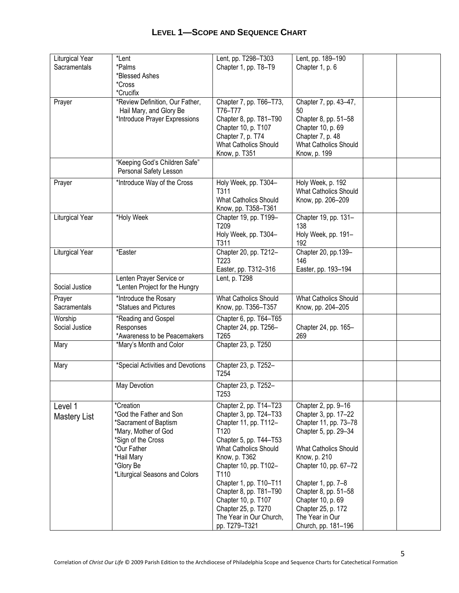| Liturgical Year<br>Sacramentals | *Lent<br>*Palms<br>*Blessed Ashes<br>*Cross<br>*Crucifix                                                                                                                                | Lent, pp. T298-T303<br>Chapter 1, pp. T8-T9                                                                                                                                                                                                                                                                                                 | Lent, pp. 189-190<br>Chapter 1, p. 6                                                                                                                                                                                                                                                                     |  |
|---------------------------------|-----------------------------------------------------------------------------------------------------------------------------------------------------------------------------------------|---------------------------------------------------------------------------------------------------------------------------------------------------------------------------------------------------------------------------------------------------------------------------------------------------------------------------------------------|----------------------------------------------------------------------------------------------------------------------------------------------------------------------------------------------------------------------------------------------------------------------------------------------------------|--|
| Prayer                          | *Review Definition, Our Father,<br>Hail Mary, and Glory Be<br>*Introduce Prayer Expressions                                                                                             | Chapter 7, pp. T66-T73,<br>T76-T77<br>Chapter 8, pp. T81-T90<br>Chapter 10, p. T107<br>Chapter 7, p. T74<br>What Catholics Should<br>Know, p. T351                                                                                                                                                                                          | Chapter 7, pp. 43-47,<br>50<br>Chapter 8, pp. 51-58<br>Chapter 10, p. 69<br>Chapter 7, p. 48<br>What Catholics Should<br>Know, p. 199                                                                                                                                                                    |  |
|                                 | "Keeping God's Children Safe"<br>Personal Safety Lesson                                                                                                                                 |                                                                                                                                                                                                                                                                                                                                             |                                                                                                                                                                                                                                                                                                          |  |
| Prayer                          | *Introduce Way of the Cross                                                                                                                                                             | Holy Week, pp. T304-<br>T311<br><b>What Catholics Should</b><br>Know, pp. T358-T361                                                                                                                                                                                                                                                         | Holy Week, p. 192<br><b>What Catholics Should</b><br>Know, pp. 206-209                                                                                                                                                                                                                                   |  |
| Liturgical Year                 | *Holy Week                                                                                                                                                                              | Chapter 19, pp. T199-<br>T209<br>Holy Week, pp. T304-<br>T311                                                                                                                                                                                                                                                                               | Chapter 19, pp. 131-<br>138<br>Holy Week, pp. 191-<br>192                                                                                                                                                                                                                                                |  |
| Liturgical Year                 | *Easter                                                                                                                                                                                 | Chapter 20, pp. T212-<br>T223<br>Easter, pp. T312-316                                                                                                                                                                                                                                                                                       | Chapter 20, pp.139-<br>146<br>Easter, pp. 193-194                                                                                                                                                                                                                                                        |  |
| Social Justice                  | Lenten Prayer Service or<br>*Lenten Project for the Hungry                                                                                                                              | Lent, p. T298                                                                                                                                                                                                                                                                                                                               |                                                                                                                                                                                                                                                                                                          |  |
| Prayer<br>Sacramentals          | *Introduce the Rosary<br>*Statues and Pictures                                                                                                                                          | What Catholics Should<br>Know, pp. T356-T357                                                                                                                                                                                                                                                                                                | What Catholics Should<br>Know, pp. 204-205                                                                                                                                                                                                                                                               |  |
| Worship<br>Social Justice       | *Reading and Gospel<br>Responses<br>*Awareness to be Peacemakers                                                                                                                        | Chapter 6, pp. T64-T65<br>Chapter 24, pp. T256-<br>T265                                                                                                                                                                                                                                                                                     | Chapter 24, pp. 165-<br>269                                                                                                                                                                                                                                                                              |  |
| Mary                            | *Mary's Month and Color                                                                                                                                                                 | Chapter 23, p. T250                                                                                                                                                                                                                                                                                                                         |                                                                                                                                                                                                                                                                                                          |  |
| Mary                            | *Special Activities and Devotions                                                                                                                                                       | Chapter 23, p. T252-<br>T <sub>254</sub>                                                                                                                                                                                                                                                                                                    |                                                                                                                                                                                                                                                                                                          |  |
|                                 | May Devotion                                                                                                                                                                            | Chapter 23, p. T252-<br>T <sub>253</sub>                                                                                                                                                                                                                                                                                                    |                                                                                                                                                                                                                                                                                                          |  |
| Level 1<br><b>Mastery List</b>  | *Creation<br>*God the Father and Son<br>*Sacrament of Baptism<br>*Mary, Mother of God<br>*Sign of the Cross<br>*Our Father<br>*Hail Mary<br>*Glory Be<br>*Liturgical Seasons and Colors | Chapter 2, pp. T14-T23<br>Chapter 3, pp. T24-T33<br>Chapter 11, pp. T112-<br>T120<br>Chapter 5, pp. T44-T53<br><b>What Catholics Should</b><br>Know, p. T362<br>Chapter 10, pp. T102-<br>T110<br>Chapter 1, pp. T10-T11<br>Chapter 8, pp. T81-T90<br>Chapter 10, p. T107<br>Chapter 25, p. T270<br>The Year in Our Church,<br>pp. T279-T321 | Chapter 2, pp. 9-16<br>Chapter 3, pp. 17-22<br>Chapter 11, pp. 73-78<br>Chapter 5, pp. 29-34<br><b>What Catholics Should</b><br>Know, p. 210<br>Chapter 10, pp. 67-72<br>Chapter 1, pp. 7-8<br>Chapter 8, pp. 51-58<br>Chapter 10, p. 69<br>Chapter 25, p. 172<br>The Year in Our<br>Church, pp. 181-196 |  |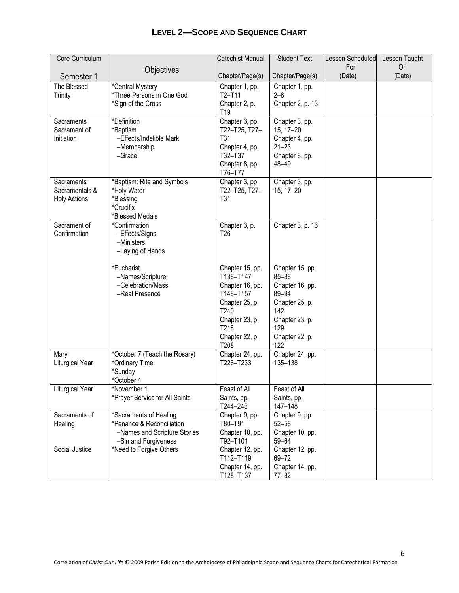| Core Curriculum     |                                                           | Catechist Manual           | <b>Student Text</b>          | Lesson Scheduled | Lesson Taught |
|---------------------|-----------------------------------------------------------|----------------------------|------------------------------|------------------|---------------|
|                     | Objectives                                                |                            |                              | For              | On            |
| Semester 1          |                                                           | Chapter/Page(s)            | Chapter/Page(s)              | (Date)           | (Date)        |
| The Blessed         | *Central Mystery                                          | Chapter 1, pp.             | Chapter 1, pp.               |                  |               |
| Trinity             | *Three Persons in One God                                 | $T2-T11$                   | $2 - 8$                      |                  |               |
|                     | *Sign of the Cross                                        | Chapter 2, p.              | Chapter 2, p. 13             |                  |               |
|                     |                                                           | T <sub>19</sub>            |                              |                  |               |
| Sacraments          | *Definition                                               | Chapter 3, pp.             | Chapter 3, pp.               |                  |               |
| Sacrament of        | *Baptism                                                  | T22-T25, T27-              | 15, 17-20                    |                  |               |
| Initiation          | -Effects/Indelible Mark                                   | T31                        | Chapter 4, pp.               |                  |               |
|                     | -Membership                                               | Chapter 4, pp.<br>T32-T37  | $21 - 23$                    |                  |               |
|                     | -Grace                                                    |                            | Chapter 8, pp.<br>48-49      |                  |               |
|                     |                                                           | Chapter 8, pp.<br>T76-T77  |                              |                  |               |
| Sacraments          | *Baptism: Rite and Symbols                                | Chapter 3, pp.             | Chapter 3, pp.               |                  |               |
| Sacramentals &      | *Holy Water                                               | T22-T25, T27-              | 15, 17-20                    |                  |               |
| <b>Holy Actions</b> | *Blessing                                                 | T31                        |                              |                  |               |
|                     | *Crucifix                                                 |                            |                              |                  |               |
|                     | *Blessed Medals                                           |                            |                              |                  |               |
| Sacrament of        | *Confirmation                                             | Chapter 3, p.              | Chapter 3, p. 16             |                  |               |
| Confirmation        | -Effects/Signs                                            | T <sub>26</sub>            |                              |                  |               |
|                     | -Ministers                                                |                            |                              |                  |               |
|                     | -Laying of Hands                                          |                            |                              |                  |               |
|                     | *Eucharist                                                | Chapter 15, pp.            | Chapter 15, pp.              |                  |               |
|                     | -Names/Scripture                                          | T138-T147                  | $85 - 88$                    |                  |               |
|                     | -Celebration/Mass                                         | Chapter 16, pp.            | Chapter 16, pp.              |                  |               |
|                     | -Real Presence                                            | T148-T157                  | 89-94                        |                  |               |
|                     |                                                           | Chapter 25, p.             | Chapter 25, p.               |                  |               |
|                     |                                                           | T240                       | 142                          |                  |               |
|                     |                                                           | Chapter 23, p.             | Chapter 23, p.               |                  |               |
|                     |                                                           | T218                       | 129                          |                  |               |
|                     |                                                           | Chapter 22, p.<br>T208     | Chapter 22, p.<br>122        |                  |               |
| Mary                | *October 7 (Teach the Rosary)                             | Chapter 24, pp.            | Chapter 24, pp.              |                  |               |
| Liturgical Year     | *Ordinary Time                                            | T226-T233                  | 135-138                      |                  |               |
|                     | *Sunday                                                   |                            |                              |                  |               |
|                     | *October 4                                                |                            |                              |                  |               |
| Liturgical Year     | *November 1                                               | Feast of All               | Feast of All                 |                  |               |
|                     | *Prayer Service for All Saints                            | Saints, pp.                | Saints, pp.                  |                  |               |
|                     |                                                           | T244-248                   | 147-148                      |                  |               |
| Sacraments of       | *Sacraments of Healing                                    | Chapter 9, pp.             | Chapter 9, pp.               |                  |               |
| Healing             | *Penance & Reconciliation<br>-Names and Scripture Stories | T80-T91<br>Chapter 10, pp. | $52 - 58$<br>Chapter 10, pp. |                  |               |
|                     | -Sin and Forgiveness                                      | T92-T101                   | 59-64                        |                  |               |
| Social Justice      | *Need to Forgive Others                                   | Chapter 12, pp.            | Chapter 12, pp.              |                  |               |
|                     |                                                           | T112-T119                  | 69-72                        |                  |               |
|                     |                                                           | Chapter 14, pp.            | Chapter 14, pp.              |                  |               |
|                     |                                                           | T128-T137                  | $77 - 82$                    |                  |               |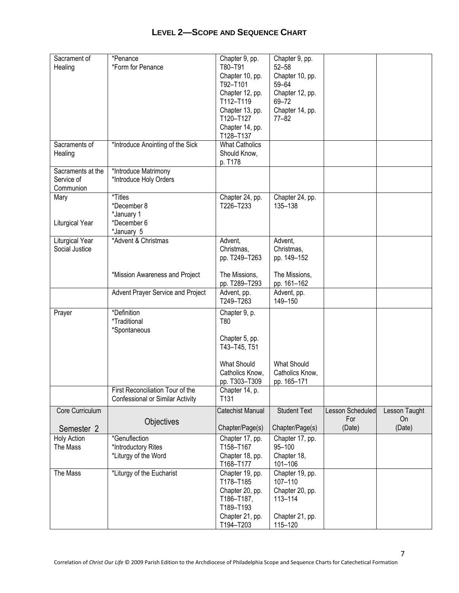| <b>LEVEL 2-SCOPE AND SEQUENCE CHART</b> |  |  |
|-----------------------------------------|--|--|
|-----------------------------------------|--|--|

| Sacrament of       | *Penance                          | Chapter 9, pp.               | Chapter 9, pp.               |                  |               |
|--------------------|-----------------------------------|------------------------------|------------------------------|------------------|---------------|
| Healing            | *Form for Penance                 | T80-T91                      | $52 - 58$                    |                  |               |
|                    |                                   | Chapter 10, pp.              | Chapter 10, pp.              |                  |               |
|                    |                                   | T92-T101                     | 59-64                        |                  |               |
|                    |                                   | Chapter 12, pp.              | Chapter 12, pp.              |                  |               |
|                    |                                   | T112-T119                    | 69-72                        |                  |               |
|                    |                                   | Chapter 13, pp.<br>T120-T127 | Chapter 14, pp.<br>$77 - 82$ |                  |               |
|                    |                                   | Chapter 14, pp.              |                              |                  |               |
|                    |                                   | T128-T137                    |                              |                  |               |
| Sacraments of      | *Introduce Anointing of the Sick  | <b>What Catholics</b>        |                              |                  |               |
| Healing            |                                   | Should Know,                 |                              |                  |               |
|                    |                                   | p. T178                      |                              |                  |               |
| Sacraments at the  | *Introduce Matrimony              |                              |                              |                  |               |
| Service of         | *Introduce Holy Orders            |                              |                              |                  |               |
| Communion          |                                   |                              |                              |                  |               |
| Mary               | *Titles                           | Chapter 24, pp.              | Chapter 24, pp.              |                  |               |
|                    | *December 8                       | T226-T233                    | 135-138                      |                  |               |
|                    | *January 1                        |                              |                              |                  |               |
| Liturgical Year    | *December 6                       |                              |                              |                  |               |
| Liturgical Year    | *January 5<br>*Advent & Christmas | Advent,                      | Advent,                      |                  |               |
| Social Justice     |                                   | Christmas,                   | Christmas,                   |                  |               |
|                    |                                   | pp. T249-T263                | pp. 149-152                  |                  |               |
|                    |                                   |                              |                              |                  |               |
|                    | *Mission Awareness and Project    | The Missions,                | The Missions,                |                  |               |
|                    |                                   | pp. T289-T293                | pp. 161-162                  |                  |               |
|                    | Advent Prayer Service and Project | Advent, pp.                  | Advent, pp.                  |                  |               |
|                    |                                   | T249-T263                    | 149-150                      |                  |               |
| Prayer             | *Definition                       | Chapter 9, p.                |                              |                  |               |
|                    | *Traditional                      | T80                          |                              |                  |               |
|                    | *Spontaneous                      |                              |                              |                  |               |
|                    |                                   | Chapter 5, pp.               |                              |                  |               |
|                    |                                   | T43-T45, T51                 |                              |                  |               |
|                    |                                   | <b>What Should</b>           | <b>What Should</b>           |                  |               |
|                    |                                   | Catholics Know,              | Catholics Know,              |                  |               |
|                    |                                   | pp. T303-T309                | pp. 165-171                  |                  |               |
|                    | First Reconciliation Tour of the  | Chapter 14, p.               |                              |                  |               |
|                    | Confessional or Similar Activity  | T <sub>131</sub>             |                              |                  |               |
| Core Curriculum    |                                   | Catechist Manual             | <b>Student Text</b>          | Lesson Scheduled | Lesson Taught |
|                    |                                   |                              |                              | For              | On            |
| Semester 2         | Objectives                        | Chapter/Page(s)              | Chapter/Page(s)              | (Date)           | (Date)        |
| <b>Holy Action</b> | *Genuflection                     | Chapter 17, pp.              | Chapter 17, pp.              |                  |               |
| The Mass           | *Introductory Rites               | T158-T167                    | 95-100                       |                  |               |
|                    | *Liturgy of the Word              | Chapter 18, pp.              | Chapter 18,                  |                  |               |
|                    |                                   | T168-T177                    | 101-106                      |                  |               |
| The Mass           | *Liturgy of the Eucharist         | Chapter 19, pp.              | Chapter 19, pp.              |                  |               |
|                    |                                   | T178-T185                    | 107-110                      |                  |               |
|                    |                                   | Chapter 20, pp.              | Chapter 20, pp.              |                  |               |
|                    |                                   | T186-T187,                   | 113-114                      |                  |               |
|                    |                                   | T189-T193                    |                              |                  |               |
|                    |                                   | Chapter 21, pp.<br>T194-T203 | Chapter 21, pp.<br>115-120   |                  |               |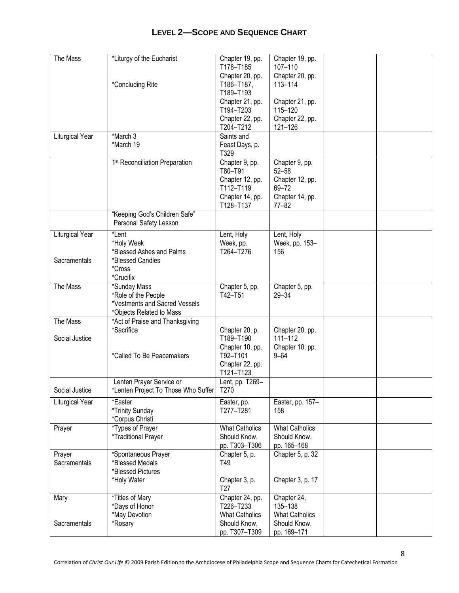| The Mass                        | *Liturgy of the Eucharist<br>*Concluding Rite                                                    | Chapter 19, pp.<br>T178-T185<br>Chapter 20, pp.<br>T186-T187.<br>T189-T193<br>Chapter 21, pp.<br>T194-T203 | Chapter 19, pp.<br>107-110<br>Chapter 20, pp.<br>113-114<br>Chapter 21, pp.<br>115-120  |  |
|---------------------------------|--------------------------------------------------------------------------------------------------|------------------------------------------------------------------------------------------------------------|-----------------------------------------------------------------------------------------|--|
|                                 |                                                                                                  | Chapter 22, pp.<br>T204-T212                                                                               | Chapter 22, pp.<br>121-126                                                              |  |
| Liturgical Year                 | *March 3<br>*March 19                                                                            | Saints and<br>Feast Days, p.<br>T329                                                                       |                                                                                         |  |
|                                 | 1 <sup>st</sup> Reconciliation Preparation                                                       | Chapter 9, pp.<br>T80-T91<br>Chapter 12, pp.<br>T112-T119<br>Chapter 14, pp.<br>T128-T137                  | Chapter 9, pp.<br>$52 - 58$<br>Chapter 12, pp.<br>69-72<br>Chapter 14, pp.<br>$77 - 82$ |  |
|                                 | "Keeping God's Children Safe"<br>Personal Safety Lesson                                          |                                                                                                            |                                                                                         |  |
| Liturgical Year<br>Sacramentals | *Lent<br>*Holy Week<br>*Blessed Ashes and Palms<br>*Blessed Candles<br>*Cross<br>*Crucifix       | Lent, Holy<br>Week, pp.<br>T264-T276                                                                       | Lent, Holy<br>Week, pp. 153-<br>156                                                     |  |
| The Mass                        | *Sunday Mass<br>*Role of the People<br>*Vestments and Sacred Vessels<br>*Objects Related to Mass | Chapter 5, pp.<br>T42-T51                                                                                  | Chapter 5, pp.<br>$29 - 34$                                                             |  |
| The Mass<br>Social Justice      | *Act of Praise and Thanksgiving<br>*Sacrifice<br>*Called To Be Peacemakers                       | Chapter 20, p.<br>T189-T190<br>Chapter 10, pp.<br>T92-T101<br>Chapter 22, pp.<br>T121-T123                 | Chapter 20, pp.<br>111-112<br>Chapter 10, pp.<br>$9 - 64$                               |  |
| Social Justice                  | Lenten Prayer Service or<br>*Lenten Project To Those Who Suffer   T270                           | Lent, pp. T269-                                                                                            |                                                                                         |  |
| Liturgical Year                 | *Easter<br>*Trinity Sunday<br>*Corpus Christi                                                    | Easter, pp.<br>T277-T281                                                                                   | Easter, pp. 157-<br>158                                                                 |  |
| Prayer                          | *Types of Prayer<br><i>*Traditional Prayer</i>                                                   | <b>What Catholics</b><br>Should Know,<br>pp. T303-T306                                                     | <b>What Catholics</b><br>Should Know,<br>pp. 165-168                                    |  |
| Prayer<br>Sacramentals          | *Spontaneous Prayer<br>*Blessed Medals<br>*Blessed Pictures<br>*Holy Water                       | Chapter 5, p.<br>T49<br>Chapter 3, p.<br>T <sub>27</sub>                                                   | Chapter 5, p. 32<br>Chapter 3, p. 17                                                    |  |
| Mary                            | *Titles of Mary<br>*Days of Honor<br>*May Devotion                                               | Chapter 24, pp.<br>T226-T233<br><b>What Catholics</b>                                                      | Chapter 24,<br>135-138<br><b>What Catholics</b>                                         |  |
| Sacramentals                    | *Rosary                                                                                          | Should Know,<br>pp. T307-T309                                                                              | Should Know,<br>pp. 169-171                                                             |  |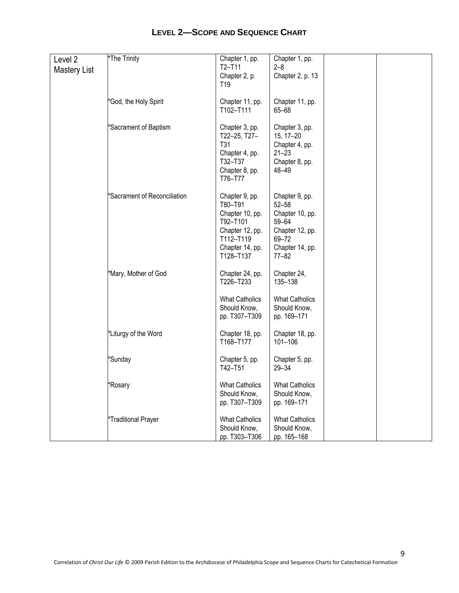| Level 2<br><b>Mastery List</b> | *The Trinity                 | Chapter 1, pp.<br>T2-T11<br>Chapter 2, p.<br>T <sub>19</sub>                                                             | Chapter 1, pp.<br>2–8<br>Chapter 2, p. 13                                                                           |  |
|--------------------------------|------------------------------|--------------------------------------------------------------------------------------------------------------------------|---------------------------------------------------------------------------------------------------------------------|--|
|                                | *God, the Holy Spirit        | Chapter 11, pp.<br>T102-T111                                                                                             | Chapter 11, pp.<br>65-68                                                                                            |  |
|                                | *Sacrament of Baptism        | Chapter 3, pp.<br>T22-25, T27-<br>T31<br>Chapter 4, pp.<br>T32-T37<br>Chapter 8, pp.<br>T76–T77                          | Chapter 3, pp.<br>15, 17-20<br>Chapter 4, pp.<br>$21 - 23$<br>Chapter 8, pp.<br>48-49                               |  |
|                                | *Sacrament of Reconciliation | Chapter 9, pp.<br>T80-T91<br>Chapter 10, pp.<br>T92-T101<br>Chapter 12, pp.<br>T112-T119<br>Chapter 14, pp.<br>T128-T137 | Chapter 9, pp.<br>$52 - 58$<br>Chapter 10, pp.<br>59-64<br>Chapter 12, pp.<br>69-72<br>Chapter 14, pp.<br>$77 - 82$ |  |
|                                | *Mary, Mother of God         | Chapter 24, pp.<br>T226-T233<br><b>What Catholics</b><br>Should Know,<br>pp. T307-T309                                   | Chapter 24,<br>135-138<br><b>What Catholics</b><br>Should Know,<br>pp. 169-171                                      |  |
|                                | *Liturgy of the Word         | Chapter 18, pp.<br>T168-T177                                                                                             | Chapter 18, pp.<br>101-106                                                                                          |  |
|                                | *Sunday                      | Chapter 5, pp.<br>T42-T51                                                                                                | Chapter 5, pp.<br>$29 - 34$                                                                                         |  |
|                                | *Rosary                      | <b>What Catholics</b><br>Should Know,<br>pp. T307-T309                                                                   | <b>What Catholics</b><br>Should Know,<br>pp. 169-171                                                                |  |
|                                | *Traditional Prayer          | <b>What Catholics</b><br>Should Know,<br>pp. T303-T306                                                                   | <b>What Catholics</b><br>Should Know,<br>pp. 165-168                                                                |  |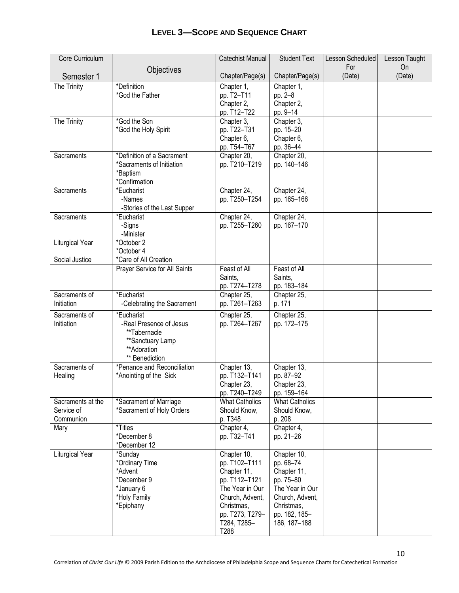| <b>LEVEL 3-SCOPE AND SEQUENCE CHART</b> |  |
|-----------------------------------------|--|
|-----------------------------------------|--|

| Core Curriculum             |                                          | Catechist Manual             | <b>Student Text</b>        | Lesson Scheduled | Lesson Taught |
|-----------------------------|------------------------------------------|------------------------------|----------------------------|------------------|---------------|
| Semester 1                  | Objectives                               | Chapter/Page(s)              | Chapter/Page(s)            | For<br>(Date)    | On<br>(Date)  |
| The Trinity                 | *Definition                              | Chapter 1,                   | Chapter 1,                 |                  |               |
|                             | *God the Father                          | pp. T2-T11                   | pp. 2-8                    |                  |               |
|                             |                                          | Chapter 2,                   | Chapter 2,                 |                  |               |
|                             |                                          | pp. T12-T22                  | pp. 9-14                   |                  |               |
| The Trinity                 | *God the Son                             | Chapter 3,                   | Chapter 3,                 |                  |               |
|                             | *God the Holy Spirit                     | pp. T22-T31                  | pp. 15-20                  |                  |               |
|                             |                                          | Chapter 6,                   | Chapter 6,                 |                  |               |
| Sacraments                  | *Definition of a Sacrament               | pp. T54-T67<br>Chapter 20,   | pp. 36-44<br>Chapter 20,   |                  |               |
|                             | *Sacraments of Initiation                | pp. T210-T219                | pp. 140-146                |                  |               |
|                             | *Baptism                                 |                              |                            |                  |               |
|                             | *Confirmation                            |                              |                            |                  |               |
| Sacraments                  | *Eucharist                               | Chapter 24,                  | Chapter 24,                |                  |               |
|                             | -Names                                   | pp. T250-T254                | pp. 165-166                |                  |               |
|                             | -Stories of the Last Supper              |                              |                            |                  |               |
| Sacraments                  | *Eucharist                               | Chapter 24,<br>pp. T255-T260 | Chapter 24,<br>pp. 167-170 |                  |               |
|                             | -Signs<br>-Minister                      |                              |                            |                  |               |
| Liturgical Year             | *October 2                               |                              |                            |                  |               |
|                             | *October 4                               |                              |                            |                  |               |
| Social Justice              | *Care of All Creation                    |                              |                            |                  |               |
|                             | Prayer Service for All Saints            | Feast of All                 | Feast of All               |                  |               |
|                             |                                          | Saints,                      | Saints,                    |                  |               |
|                             |                                          | pp. T274-T278                | pp. 183-184                |                  |               |
| Sacraments of<br>Initiation | *Eucharist<br>-Celebrating the Sacrament | Chapter 25,<br>pp. T261-T263 | Chapter 25,<br>p. 171      |                  |               |
|                             | *Eucharist                               |                              |                            |                  |               |
| Sacraments of<br>Initiation | -Real Presence of Jesus                  | Chapter 25,<br>pp. T264-T267 | Chapter 25,<br>pp. 172-175 |                  |               |
|                             | **Tabernacle                             |                              |                            |                  |               |
|                             | **Sanctuary Lamp                         |                              |                            |                  |               |
|                             | **Adoration                              |                              |                            |                  |               |
|                             | ** Benediction                           |                              |                            |                  |               |
| Sacraments of               | *Penance and Reconciliation              | Chapter 13,                  | Chapter 13,                |                  |               |
| Healing                     | *Anointing of the Sick                   | pp. T132-T141                | pp. 87-92                  |                  |               |
|                             |                                          | Chapter 23,<br>pp. T240-T249 | Chapter 23,<br>pp. 159-164 |                  |               |
| Sacraments at the           | *Sacrament of Marriage                   | <b>What Catholics</b>        | <b>What Catholics</b>      |                  |               |
| Service of                  | *Sacrament of Holy Orders                | Should Know,                 | Should Know,               |                  |               |
| Communion                   |                                          | p. T348                      | p. 208                     |                  |               |
| Mary                        | *Titles                                  | Chapter 4,                   | Chapter $\overline{4,}$    |                  |               |
|                             | *December 8                              | pp. T32-T41                  | pp. 21-26                  |                  |               |
|                             | *December 12                             |                              |                            |                  |               |
| Liturgical Year             | *Sunday<br>*Ordinary Time                | Chapter 10,<br>pp. T102-T111 | Chapter 10,<br>pp. 68-74   |                  |               |
|                             | *Advent                                  | Chapter 11,                  | Chapter 11,                |                  |               |
|                             | *December 9                              | pp. T112-T121                | pp. 75-80                  |                  |               |
|                             | *January 6                               | The Year in Our              | The Year in Our            |                  |               |
|                             | *Holy Family                             | Church, Advent,              | Church, Advent,            |                  |               |
|                             | *Epiphany                                | Christmas,                   | Christmas,                 |                  |               |
|                             |                                          | pp. T273, T279-              | pp. 182, 185-              |                  |               |
|                             |                                          | T284, T285-<br>T288          | 186, 187-188               |                  |               |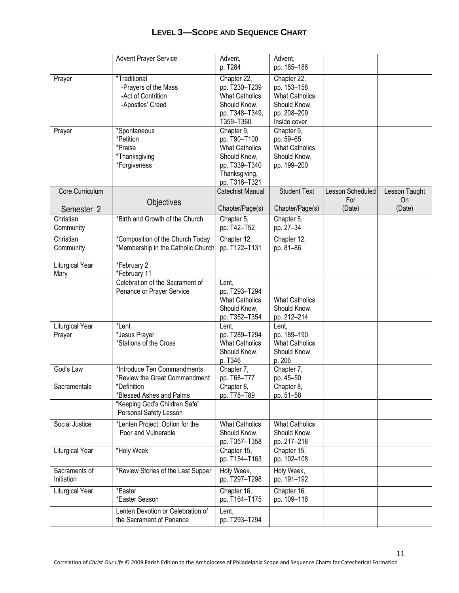|                             | <b>Advent Prayer Service</b>                                                                                                                                       | Advent.<br>p. T284                                                                                                     | Advent,<br>pp. 185-186                                                                             |                         |                     |
|-----------------------------|--------------------------------------------------------------------------------------------------------------------------------------------------------------------|------------------------------------------------------------------------------------------------------------------------|----------------------------------------------------------------------------------------------------|-------------------------|---------------------|
| Prayer                      | *Traditional<br>-Prayers of the Mass<br>-Act of Contrition<br>-Apostles' Creed                                                                                     | Chapter 22,<br>pp. T230-T239<br><b>What Catholics</b><br>Should Know,<br>pp. T348-T349,<br>T359-T360                   | Chapter 22,<br>pp. 153-158<br><b>What Catholics</b><br>Should Know,<br>pp. 208-209<br>Inside cover |                         |                     |
| Prayer                      | *Spontaneous<br>*Petition<br>*Praise<br>*Thanksgiving<br>*Forgiveness                                                                                              | Chapter 9,<br>pp. T90-T100<br><b>What Catholics</b><br>Should Know,<br>pp. T339-T340<br>Thanksgiving,<br>pp. T318-T321 | Chapter 9,<br>pp. 59-65<br><b>What Catholics</b><br>Should Know,<br>pp. 199-200                    |                         |                     |
| Core Curriculum             |                                                                                                                                                                    | Catechist Manual                                                                                                       | <b>Student Text</b>                                                                                | Lesson Scheduled<br>For | Lesson Taught<br>On |
| Semester 2                  | Objectives                                                                                                                                                         | Chapter/Page(s)                                                                                                        | Chapter/Page(s)                                                                                    | (Date)                  | (Date)              |
| Christian<br>Community      | *Birth and Growth of the Church                                                                                                                                    | Chapter 5,<br>pp. T42-T52                                                                                              | Chapter 5,<br>pp. 27-34                                                                            |                         |                     |
| Christian<br>Community      | *Composition of the Church Today<br>*Membership in the Catholic Church                                                                                             | Chapter 12,<br>pp. T122-T131                                                                                           | Chapter 12,<br>pp. 81-86                                                                           |                         |                     |
| Liturgical Year<br>Mary     | *February 2<br>*February 11                                                                                                                                        |                                                                                                                        |                                                                                                    |                         |                     |
|                             | Celebration of the Sacrament of<br>Penance or Prayer Service                                                                                                       | Lent,<br>pp. T293-T294<br><b>What Catholics</b><br>Should Know,<br>pp. T352-T354                                       | <b>What Catholics</b><br>Should Know,<br>pp. 212-214                                               |                         |                     |
| Liturgical Year<br>Prayer   | *Lent<br>*Jesus Prayer<br>*Stations of the Cross                                                                                                                   | Lent,<br>pp. T289-T294<br><b>What Catholics</b><br>Should Know,<br>p. T346                                             | Lent,<br>pp. 189-190<br><b>What Catholics</b><br>Should Know,<br>p. 206                            |                         |                     |
| God's Law<br>Sacramentals   | *Introduce Ten Commandments<br>*Review the Great Commandment<br>*Definition<br>*Blessed Ashes and Palms<br>"Keeping God's Children Safe"<br>Personal Safety Lesson | Chapter 7,<br>pp. T68-T77<br>Chapter 8,<br>pp. T78-T89                                                                 | Chapter 7,<br>pp. 45-50<br>Chapter 8,<br>pp. 51-58                                                 |                         |                     |
| Social Justice              | *Lenten Project: Option for the<br>Poor and Vulnerable                                                                                                             | <b>What Catholics</b><br>Should Know,<br>pp. T357-T358                                                                 | <b>What Catholics</b><br>Should Know,<br>pp. 217-218                                               |                         |                     |
| Liturgical Year             | *Holy Week                                                                                                                                                         | Chapter 15,<br>pp. T154-T163                                                                                           | Chapter 15,<br>pp. 102-108                                                                         |                         |                     |
| Sacraments of<br>Initiation | *Review Stories of the Last Supper                                                                                                                                 | Holy Week,<br>pp. T297-T298                                                                                            | Holy Week,<br>pp. 191-192                                                                          |                         |                     |
| Liturgical Year             | *Easter<br>*Easter Season                                                                                                                                          | Chapter 16,<br>pp. T164-T175                                                                                           | Chapter 16,<br>pp. 109-116                                                                         |                         |                     |
|                             | Lenten Devotion or Celebration of<br>the Sacrament of Penance                                                                                                      | Lent,<br>pp. T293-T294                                                                                                 |                                                                                                    |                         |                     |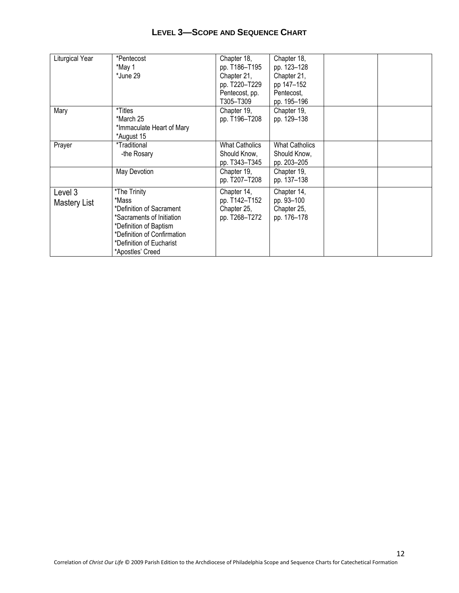| LEVEL 3-SCOPE AND SEQUENCE CHART |  |  |
|----------------------------------|--|--|
|----------------------------------|--|--|

| Liturgical Year         | *Pentecost<br>*May 1<br>*June 29                                                                                                                                                        | Chapter 18,<br>pp. T186-T195<br>Chapter 21,<br>pp. T220-T229<br>Pentecost, pp.<br>T305-T309 | Chapter 18,<br>pp. 123-128<br>Chapter 21,<br>pp 147-152<br>Pentecost,<br>pp. 195-196 |  |
|-------------------------|-----------------------------------------------------------------------------------------------------------------------------------------------------------------------------------------|---------------------------------------------------------------------------------------------|--------------------------------------------------------------------------------------|--|
| Mary                    | *Titles<br>*March 25<br>*Immaculate Heart of Mary<br>*August 15                                                                                                                         | Chapter 19,<br>pp. T196-T208                                                                | Chapter 19,<br>pp. 129-138                                                           |  |
| Prayer                  | *Traditional<br>-the Rosary                                                                                                                                                             | <b>What Catholics</b><br>Should Know,<br>pp. T343-T345                                      | <b>What Catholics</b><br>Should Know,<br>pp. 203-205                                 |  |
|                         | May Devotion                                                                                                                                                                            | Chapter 19,<br>pp. T207-T208                                                                | Chapter 19,<br>pp. 137-138                                                           |  |
| Level 3<br>Mastery List | *The Trinity<br>*Mass<br>*Definition of Sacrament<br>*Sacraments of Initiation<br>*Definition of Baptism<br>*Definition of Confirmation<br>*Definition of Eucharist<br>*Apostles' Creed | Chapter 14,<br>pp. T142-T152<br>Chapter 25,<br>pp. T268-T272                                | Chapter 14,<br>pp. 93-100<br>Chapter 25,<br>pp. 176-178                              |  |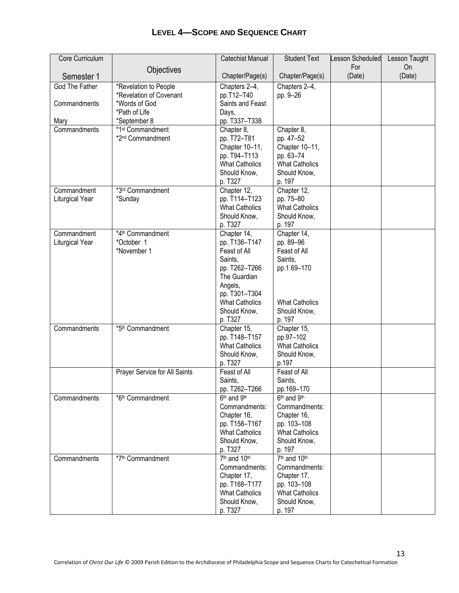| Core Curriculum |                               | Catechist Manual                       | <b>Student Text</b>                  | Lesson Scheduled | Lesson Taught |
|-----------------|-------------------------------|----------------------------------------|--------------------------------------|------------------|---------------|
|                 | Objectives                    |                                        |                                      | For              | On            |
| Semester 1      |                               | Chapter/Page(s)                        | Chapter/Page(s)                      | (Date)           | (Date)        |
| God The Father  | *Revelation to People         | Chapters 2-4,                          | Chapters 2-4,                        |                  |               |
|                 | *Revelation of Covenant       | pp.T12-T40                             | pp. 9-26                             |                  |               |
| Commandments    | *Words of God                 | Saints and Feast                       |                                      |                  |               |
|                 | *Path of Life                 | Days,                                  |                                      |                  |               |
| Mary            | *September 8                  | pp. T337-T338                          |                                      |                  |               |
| Commandments    | *1 <sup>st</sup> Commandment  | Chapter 8,                             | Chapter 8,                           |                  |               |
|                 | *2 <sup>nd</sup> Commandment  | pp. T72-T81                            | pp. 47-52                            |                  |               |
|                 |                               | Chapter 10-11,                         | Chapter 10-11,                       |                  |               |
|                 |                               | pp. T94-T113                           | pp. 63-74                            |                  |               |
|                 |                               | <b>What Catholics</b>                  | <b>What Catholics</b>                |                  |               |
|                 |                               | Should Know,                           | Should Know,                         |                  |               |
|                 |                               | p. T327                                | p. 197                               |                  |               |
| Commandment     | *3rd Commandment              | Chapter 12,                            | Chapter 12,                          |                  |               |
| Liturgical Year | *Sunday                       | pp. T114-T123                          | pp. 75-80                            |                  |               |
|                 |                               | <b>What Catholics</b>                  | <b>What Catholics</b>                |                  |               |
|                 |                               | Should Know,                           | Should Know,                         |                  |               |
|                 |                               | p. T327                                | p. 197                               |                  |               |
| Commandment     | *4th Commandment              | Chapter 14,                            | Chapter 14,                          |                  |               |
| Liturgical Year | *October 1                    | pp. T136-T147                          | pp. 89-96                            |                  |               |
|                 | *November 1                   | Feast of All                           | Feast of All                         |                  |               |
|                 |                               | Saints,                                | Saints,                              |                  |               |
|                 |                               | pp. T262-T266                          | pp.1 69-170                          |                  |               |
|                 |                               | The Guardian                           |                                      |                  |               |
|                 |                               | Angels,                                |                                      |                  |               |
|                 |                               | pp. T301-T304                          |                                      |                  |               |
|                 |                               | <b>What Catholics</b>                  | <b>What Catholics</b>                |                  |               |
|                 |                               | Should Know,                           | Should Know,                         |                  |               |
|                 |                               | p. T327                                | p. 197                               |                  |               |
| Commandments    | *5 <sup>th</sup> Commandment  | Chapter 15,                            | Chapter 15,                          |                  |               |
|                 |                               | pp. T148-T157<br><b>What Catholics</b> | pp.97-102                            |                  |               |
|                 |                               | Should Know,                           | <b>What Catholics</b>                |                  |               |
|                 |                               | p. T327                                | Should Know,<br>p.197                |                  |               |
|                 | Prayer Service for All Saints | Feast of All                           | Feast of All                         |                  |               |
|                 |                               | Saints,                                | Saints,                              |                  |               |
|                 |                               | pp. T262-T266                          | pp.169-170                           |                  |               |
| Commandments    | *6 <sup>th</sup> Commandment  | 6 <sup>th</sup> and 9 <sup>th</sup>    | 6 <sup>th</sup> and 9 <sup>th</sup>  |                  |               |
|                 |                               | Commandments:                          | Commandments:                        |                  |               |
|                 |                               | Chapter 16,                            | Chapter 16,                          |                  |               |
|                 |                               | pp. T158-T167                          | pp. 103-108                          |                  |               |
|                 |                               | <b>What Catholics</b>                  | <b>What Catholics</b>                |                  |               |
|                 |                               | Should Know,                           | Should Know,                         |                  |               |
|                 |                               | p. T327                                | p. 197                               |                  |               |
| Commandments    | *7 <sup>th</sup> Commandment  | 7 <sup>th</sup> and 10 <sup>th</sup>   | 7 <sup>th</sup> and 10 <sup>th</sup> |                  |               |
|                 |                               | Commandments:                          | Commandments:                        |                  |               |
|                 |                               | Chapter 17,                            | Chapter 17,                          |                  |               |
|                 |                               | pp. T168-T177                          | pp. 103-108                          |                  |               |
|                 |                               | <b>What Catholics</b>                  | <b>What Catholics</b>                |                  |               |
|                 |                               | Should Know,                           | Should Know,                         |                  |               |
|                 |                               | p. T327                                | p. 197                               |                  |               |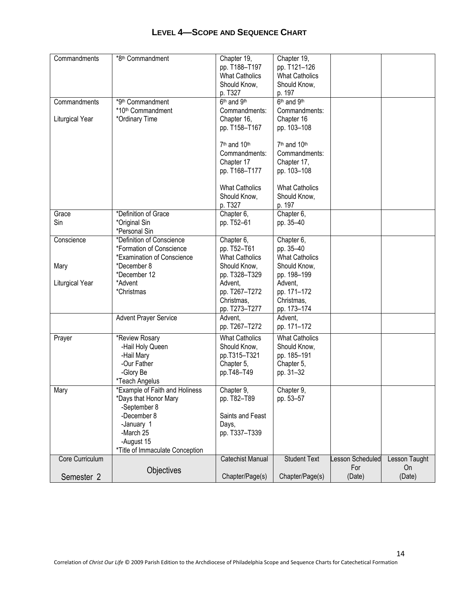| Commandments          | *8 <sup>th</sup> Commandment    | Chapter 19,                          | Chapter 19,                          |                 |               |
|-----------------------|---------------------------------|--------------------------------------|--------------------------------------|-----------------|---------------|
|                       |                                 | pp. T188-T197                        | pp. T121-126                         |                 |               |
|                       |                                 | <b>What Catholics</b>                | <b>What Catholics</b>                |                 |               |
|                       |                                 | Should Know,                         | Should Know,                         |                 |               |
|                       |                                 | p. T327                              | p. 197                               |                 |               |
| Commandments          | *9th Commandment                | 6 <sup>th</sup> and 9 <sup>th</sup>  | 6 <sup>th</sup> and 9 <sup>th</sup>  |                 |               |
|                       | *10 <sup>th</sup> Commandment   | Commandments:                        | Commandments:                        |                 |               |
| Liturgical Year       | *Ordinary Time                  | Chapter 16,                          | Chapter 16                           |                 |               |
|                       |                                 | pp. T158-T167                        | pp. 103-108                          |                 |               |
|                       |                                 |                                      |                                      |                 |               |
|                       |                                 | 7 <sup>th</sup> and 10 <sup>th</sup> | 7 <sup>th</sup> and 10 <sup>th</sup> |                 |               |
|                       |                                 | Commandments:                        | Commandments:                        |                 |               |
|                       |                                 | Chapter 17                           | Chapter 17,                          |                 |               |
|                       |                                 | pp. T168-T177                        | pp. 103-108                          |                 |               |
|                       |                                 |                                      |                                      |                 |               |
|                       |                                 | <b>What Catholics</b>                | <b>What Catholics</b>                |                 |               |
|                       |                                 | Should Know,                         | Should Know,                         |                 |               |
|                       |                                 | p. T327                              | p. 197                               |                 |               |
| Grace                 | *Definition of Grace            | Chapter 6,                           | Chapter 6,                           |                 |               |
| Sin                   | *Original Sin                   | pp. T52-61                           | pp. 35-40                            |                 |               |
|                       | *Personal Sin                   |                                      |                                      |                 |               |
| Conscience            | *Definition of Conscience       | Chapter 6,                           | Chapter 6,                           |                 |               |
|                       | *Formation of Conscience        | pp. T52-T61                          | pp. 35-40                            |                 |               |
|                       | *Examination of Conscience      | <b>What Catholics</b>                | <b>What Catholics</b>                |                 |               |
| Mary                  | *December 8                     | Should Know,                         | Should Know,                         |                 |               |
|                       | *December 12                    | pp. T328-T329                        | pp. 198-199                          |                 |               |
| Liturgical Year       | *Advent                         | Advent,                              | Advent,                              |                 |               |
|                       | *Christmas                      | pp. T267-T272                        | pp. 171-172                          |                 |               |
|                       |                                 | Christmas,                           | Christmas,                           |                 |               |
|                       |                                 | pp. T273-T277                        | pp. 173-174                          |                 |               |
|                       | <b>Advent Prayer Service</b>    | Advent,                              | Advent,                              |                 |               |
|                       |                                 | pp. T267-T272                        | pp. 171-172                          |                 |               |
| Prayer                | *Review Rosary                  | <b>What Catholics</b>                | <b>What Catholics</b>                |                 |               |
|                       | -Hail Holy Queen                | Should Know,                         | Should Know,                         |                 |               |
|                       | -Hail Mary                      | pp.T315-T321                         | pp. 185-191                          |                 |               |
|                       | -Our Father                     | Chapter 5,                           | Chapter 5,                           |                 |               |
|                       | -Glory Be                       | pp.T48-T49                           | pp. 31-32                            |                 |               |
|                       | *Teach Angelus                  |                                      |                                      |                 |               |
| Mary                  | *Example of Faith and Holiness  | Chapter 9,                           | Chapter 9,                           |                 |               |
|                       | *Days that Honor Mary           | pp. T82-T89                          | pp. 53-57                            |                 |               |
|                       | -September 8                    |                                      |                                      |                 |               |
|                       | -December 8                     | Saints and Feast                     |                                      |                 |               |
|                       | -January 1                      | Days,                                |                                      |                 |               |
|                       | -March 25                       | pp. T337-T339                        |                                      |                 |               |
|                       | -August 15                      |                                      |                                      |                 |               |
|                       | *Title of Immaculate Conception |                                      |                                      |                 |               |
| Core Curriculum       |                                 | <b>Catechist Manual</b>              | <b>Student Text</b>                  | esson Scheduled | Lesson Taught |
|                       |                                 |                                      |                                      | For             | <b>On</b>     |
| Semester <sub>2</sub> | Objectives                      | Chapter/Page(s)                      | Chapter/Page(s)                      | (Date)          | (Date)        |
|                       |                                 |                                      |                                      |                 |               |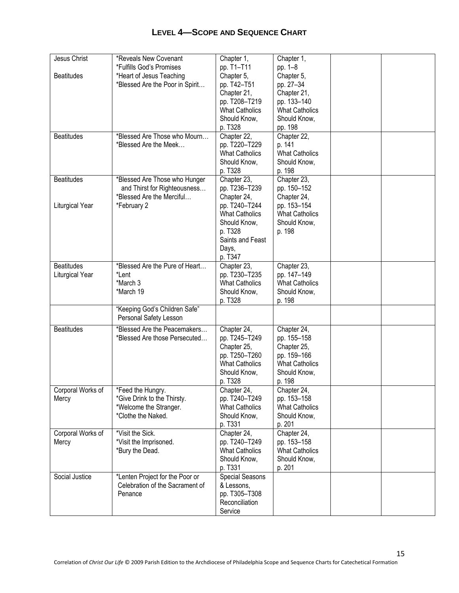| Jesus Christ      | *Reveals New Covenant           | Chapter 1,                             | Chapter 1,            |  |
|-------------------|---------------------------------|----------------------------------------|-----------------------|--|
|                   | *Fulfills God's Promises        | pp. T1-T11                             | pp. 1-8               |  |
| <b>Beatitudes</b> | *Heart of Jesus Teaching        | Chapter 5,                             | Chapter 5,            |  |
|                   | *Blessed Are the Poor in Spirit | pp. T42-T51                            | pp. 27-34             |  |
|                   |                                 | Chapter 21,                            | Chapter 21,           |  |
|                   |                                 | pp. T208-T219                          | pp. 133-140           |  |
|                   |                                 | <b>What Catholics</b>                  | <b>What Catholics</b> |  |
|                   |                                 | Should Know,                           | Should Know,          |  |
|                   |                                 | p. T328                                | pp. 198               |  |
| <b>Beatitudes</b> | *Blessed Are Those who Mourn    | Chapter 22,                            | Chapter 22,           |  |
|                   | *Blessed Are the Meek           |                                        | p. 141                |  |
|                   |                                 | pp. T220-T229<br><b>What Catholics</b> | <b>What Catholics</b> |  |
|                   |                                 |                                        |                       |  |
|                   |                                 | Should Know,                           | Should Know,          |  |
|                   |                                 | p. T328                                | p. 198                |  |
| <b>Beatitudes</b> | *Blessed Are Those who Hunger   | Chapter $23$ ,                         | Chapter $23$ ,        |  |
|                   | and Thirst for Righteousness    | pp. T236-T239                          | pp. 150-152           |  |
|                   | *Blessed Are the Merciful       | Chapter 24,                            | Chapter 24,           |  |
| Liturgical Year   | *February 2                     | pp. T240-T244                          | pp. 153-154           |  |
|                   |                                 | <b>What Catholics</b>                  | <b>What Catholics</b> |  |
|                   |                                 | Should Know,                           | Should Know,          |  |
|                   |                                 | p. T328                                | p. 198                |  |
|                   |                                 | Saints and Feast                       |                       |  |
|                   |                                 | Days,                                  |                       |  |
|                   |                                 | p. T347                                |                       |  |
| <b>Beatitudes</b> | *Blessed Are the Pure of Heart  |                                        | Chapter 23,           |  |
|                   |                                 | Chapter 23,                            |                       |  |
| Liturgical Year   | *Lent                           | pp. T230-T235                          | pp. 147-149           |  |
|                   | *March 3                        | <b>What Catholics</b>                  | <b>What Catholics</b> |  |
|                   | *March 19                       | Should Know,                           | Should Know,          |  |
|                   |                                 | p. T328                                | p. 198                |  |
|                   | "Keeping God's Children Safe"   |                                        |                       |  |
|                   | Personal Safety Lesson          |                                        |                       |  |
| <b>Beatitudes</b> | *Blessed Are the Peacemakers    | Chapter 24,                            | Chapter 24,           |  |
|                   | *Blessed Are those Persecuted   | pp. T245-T249                          | pp. 155-158           |  |
|                   |                                 | Chapter 25,                            | Chapter 25,           |  |
|                   |                                 | pp. T250-T260                          | pp. 159-166           |  |
|                   |                                 | <b>What Catholics</b>                  | <b>What Catholics</b> |  |
|                   |                                 | Should Know,                           | Should Know,          |  |
|                   |                                 | p. T328                                | p. 198                |  |
| Corporal Works of | *Feed the Hungry.               | Chapter 24,                            | Chapter 24,           |  |
| Mercy             | *Give Drink to the Thirsty.     | pp. T240-T249                          | pp. 153-158           |  |
|                   | *Welcome the Stranger.          | <b>What Catholics</b>                  | <b>What Catholics</b> |  |
|                   | *Clothe the Naked.              |                                        |                       |  |
|                   |                                 | Should Know,                           | Should Know,          |  |
|                   |                                 | p. T331                                | p. 201                |  |
| Corporal Works of | *Visit the Sick.                | Chapter 24,                            | Chapter 24,           |  |
| Mercy             | *Visit the Imprisoned.          | pp. T240-T249                          | pp. 153-158           |  |
|                   | *Bury the Dead.                 | <b>What Catholics</b>                  | <b>What Catholics</b> |  |
|                   |                                 | Should Know,                           | Should Know,          |  |
|                   |                                 | p. T331                                | p. 201                |  |
| Social Justice    | *Lenten Project for the Poor or | Special Seasons                        |                       |  |
|                   | Celebration of the Sacrament of | & Lessons,                             |                       |  |
|                   | Penance                         | pp. T305-T308                          |                       |  |
|                   |                                 | Reconciliation                         |                       |  |
|                   |                                 | Service                                |                       |  |
|                   |                                 |                                        |                       |  |

15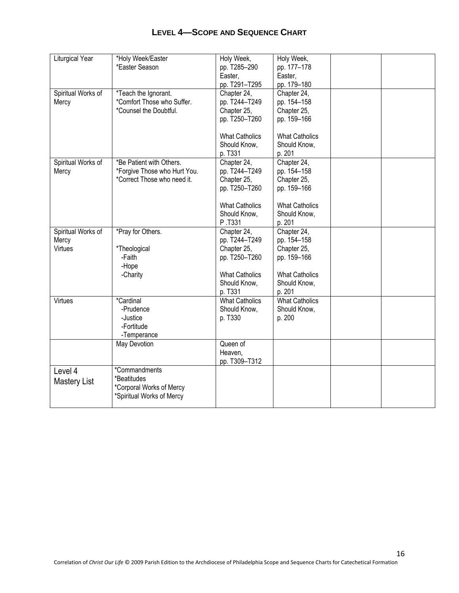| Liturgical Year     | *Holy Week/Easter            | Holy Week,            | Holy Week,            |  |
|---------------------|------------------------------|-----------------------|-----------------------|--|
|                     | *Easter Season               | pp. T285-290          | pp. 177-178           |  |
|                     |                              |                       |                       |  |
|                     |                              | Easter,               | Easter,               |  |
|                     |                              | pp. T291-T295         | pp. 179-180           |  |
| Spiritual Works of  | *Teach the Ignorant.         | Chapter 24,           | Chapter 24,           |  |
| Mercy               | *Comfort Those who Suffer.   | pp. T244-T249         | pp. 154-158           |  |
|                     | *Counsel the Doubtful.       | Chapter 25,           | Chapter 25,           |  |
|                     |                              | pp. T250-T260         | pp. 159-166           |  |
|                     |                              |                       |                       |  |
|                     |                              | <b>What Catholics</b> | <b>What Catholics</b> |  |
|                     |                              | Should Know,          | Should Know,          |  |
|                     |                              | p. T331               | p. 201                |  |
| Spiritual Works of  | *Be Patient with Others.     | Chapter 24,           | Chapter 24,           |  |
| Mercy               | *Forgive Those who Hurt You. | pp. T244-T249         | pp. 154-158           |  |
|                     | *Correct Those who need it.  | Chapter 25,           | Chapter 25,           |  |
|                     |                              | pp. T250-T260         | pp. 159-166           |  |
|                     |                              |                       |                       |  |
|                     |                              | <b>What Catholics</b> | <b>What Catholics</b> |  |
|                     |                              | Should Know,          | Should Know,          |  |
|                     |                              | P.T331                | p. 201                |  |
|                     |                              |                       |                       |  |
| Spiritual Works of  | *Pray for Others.            | Chapter 24,           | Chapter 24,           |  |
| Mercy               |                              | pp. T244-T249         | pp. 154-158           |  |
| Virtues             | *Theological                 | Chapter 25,           | Chapter 25,           |  |
|                     | -Faith                       | pp. T250-T260         | pp. 159-166           |  |
|                     | -Hope                        |                       |                       |  |
|                     | -Charity                     | <b>What Catholics</b> | <b>What Catholics</b> |  |
|                     |                              | Should Know,          | Should Know,          |  |
|                     |                              | p. T331               | p. 201                |  |
| Virtues             | *Cardinal                    | What Catholics        | <b>What Catholics</b> |  |
|                     | -Prudence                    | Should Know,          | Should Know,          |  |
|                     | -Justice                     | p. T330               | p. 200                |  |
|                     | -Fortitude                   |                       |                       |  |
|                     | -Temperance                  |                       |                       |  |
|                     | May Devotion                 | Queen of              |                       |  |
|                     |                              | Heaven,               |                       |  |
|                     |                              | pp. T309-T312         |                       |  |
| Level 4             | *Commandments                |                       |                       |  |
|                     | *Beatitudes                  |                       |                       |  |
| <b>Mastery List</b> | *Corporal Works of Mercy     |                       |                       |  |
|                     |                              |                       |                       |  |
|                     | *Spiritual Works of Mercy    |                       |                       |  |
|                     |                              |                       |                       |  |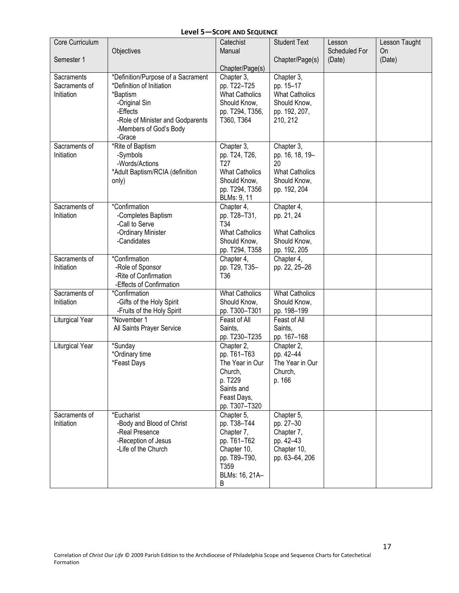| Core Curriculum |                                    | Catechist                 | <b>Student Text</b>     | Lesson        | Lesson Taught |
|-----------------|------------------------------------|---------------------------|-------------------------|---------------|---------------|
|                 | Objectives                         | Manual                    |                         | Scheduled For | On            |
| Semester 1      |                                    |                           | Chapter/Page(s)         | (Date)        | (Date)        |
|                 |                                    | Chapter/Page(s)           |                         |               |               |
| Sacraments      | *Definition/Purpose of a Sacrament | Chapter 3,                | Chapter 3,              |               |               |
| Sacraments of   | *Definition of Initiation          | pp. T22-T25               | pp. 15-17               |               |               |
| Initiation      | *Baptism                           | <b>What Catholics</b>     | <b>What Catholics</b>   |               |               |
|                 | -Original Sin                      | Should Know,              | Should Know,            |               |               |
|                 | -Effects                           | pp. T294, T356,           | pp. 192, 207,           |               |               |
|                 | -Role of Minister and Godparents   | T360, T364                | 210, 212                |               |               |
|                 | -Members of God's Body             |                           |                         |               |               |
|                 | -Grace                             |                           |                         |               |               |
| Sacraments of   | *Rite of Baptism                   | Chapter 3,                | Chapter 3,              |               |               |
| Initiation      | -Symbols                           | pp. T24, T26,             | pp. 16, 18, 19-         |               |               |
|                 | -Words/Actions                     | T <sub>27</sub>           | 20                      |               |               |
|                 | *Adult Baptism/RCIA (definition    | <b>What Catholics</b>     | <b>What Catholics</b>   |               |               |
|                 | only)                              | Should Know,              | Should Know,            |               |               |
|                 |                                    | pp. T294, T356            | pp. 192, 204            |               |               |
| Sacraments of   | *Confirmation                      | BLMs: 9, 11<br>Chapter 4, | Chapter 4,              |               |               |
| Initiation      | -Completes Baptism                 | pp. T28-T31,              | pp. 21, 24              |               |               |
|                 | -Call to Serve                     | T34                       |                         |               |               |
|                 | -Ordinary Minister                 | <b>What Catholics</b>     | <b>What Catholics</b>   |               |               |
|                 | -Candidates                        | Should Know,              | Should Know,            |               |               |
|                 |                                    | pp. T294, T358            | pp. 192, 205            |               |               |
| Sacraments of   | *Confirmation                      | Chapter 4,                | Chapter 4,              |               |               |
| Initiation      | -Role of Sponsor                   | pp. T29, T35-             | pp. 22, 25-26           |               |               |
|                 | -Rite of Confirmation              | T36                       |                         |               |               |
|                 | -Effects of Confirmation           |                           |                         |               |               |
| Sacraments of   | *Confirmation                      | <b>What Catholics</b>     | <b>What Catholics</b>   |               |               |
| Initiation      | -Gifts of the Holy Spirit          | Should Know,              | Should Know,            |               |               |
|                 | -Fruits of the Holy Spirit         | pp. T300-T301             | pp. 198-199             |               |               |
| Liturgical Year | *November 1                        | Feast of All<br>Saints,   | Feast of All<br>Saints, |               |               |
|                 | All Saints Prayer Service          | pp. T230-T235             | pp. 167-168             |               |               |
| Liturgical Year | *Sunday                            | Chapter 2,                | Chapter 2,              |               |               |
|                 | *Ordinary time                     | pp. T61-T63               | pp. 42-44               |               |               |
|                 | *Feast Days                        | The Year in Our           | The Year in Our         |               |               |
|                 |                                    | Church,                   | Church,                 |               |               |
|                 |                                    | p. T229                   | p. 166                  |               |               |
|                 |                                    | Saints and                |                         |               |               |
|                 |                                    | Feast Days,               |                         |               |               |
|                 |                                    | pp. T307-T320             |                         |               |               |
| Sacraments of   | *Eucharist                         | Chapter 5,                | Chapter 5,              |               |               |
| Initiation      | -Body and Blood of Christ          | pp. T38-T44               | pp. 27-30               |               |               |
|                 | -Real Presence                     | Chapter 7,                | Chapter 7,              |               |               |
|                 | -Reception of Jesus                | pp. T61-T62               | pp. 42-43               |               |               |
|                 | -Life of the Church                | Chapter 10,               | Chapter 10,             |               |               |
|                 |                                    | pp. T89-T90,              | pp. 63-64, 206          |               |               |
|                 |                                    | T359<br>BLMs: 16, 21A-    |                         |               |               |
|                 |                                    | B                         |                         |               |               |
|                 |                                    |                           |                         |               |               |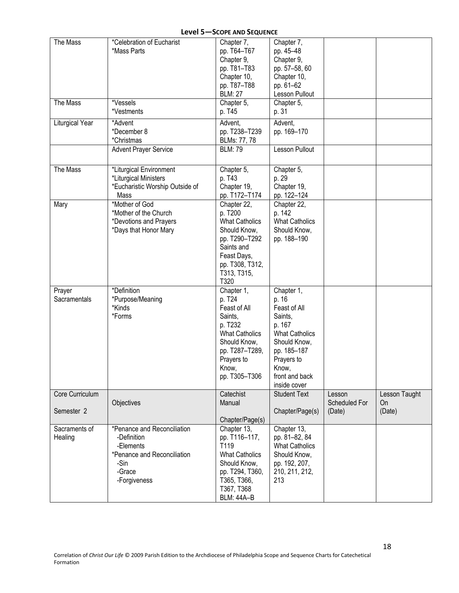| The Mass                      | *Celebration of Eucharist                                                                                                | Chapter 7,                                                                                                                                                    | Chapter 7,                                                                                                                                                                |                                   |                               |
|-------------------------------|--------------------------------------------------------------------------------------------------------------------------|---------------------------------------------------------------------------------------------------------------------------------------------------------------|---------------------------------------------------------------------------------------------------------------------------------------------------------------------------|-----------------------------------|-------------------------------|
|                               | *Mass Parts                                                                                                              | pp. T64-T67<br>Chapter 9,<br>pp. T81-T83<br>Chapter 10,<br>pp. T87-T88<br><b>BLM: 27</b>                                                                      | pp. 45-48<br>Chapter 9,<br>pp. 57-58, 60<br>Chapter 10,<br>pp. 61-62<br>Lesson Pullout                                                                                    |                                   |                               |
| The Mass                      | *Vessels<br>*Vestments                                                                                                   | Chapter 5,<br>p. T45                                                                                                                                          | Chapter 5,<br>p. 31                                                                                                                                                       |                                   |                               |
| Liturgical Year               | *Advent<br>*December 8<br>*Christmas                                                                                     | Advent,<br>pp. T238-T239<br>BLMs: 77, 78                                                                                                                      | Advent,<br>pp. 169-170                                                                                                                                                    |                                   |                               |
|                               | <b>Advent Prayer Service</b>                                                                                             | <b>BLM: 79</b>                                                                                                                                                | Lesson Pullout                                                                                                                                                            |                                   |                               |
| The Mass                      | *Liturgical Environment<br>*Liturgical Ministers<br>*Eucharistic Worship Outside of<br>Mass                              | Chapter 5,<br>p. T43<br>Chapter 19,<br>pp. T172-T174                                                                                                          | Chapter 5,<br>p. 29<br>Chapter 19,<br>pp. 122-124                                                                                                                         |                                   |                               |
| Mary                          | *Mother of God<br>*Mother of the Church<br>*Devotions and Prayers<br>*Days that Honor Mary                               | Chapter 22,<br>p. T200<br><b>What Catholics</b><br>Should Know,<br>pp. T290-T292<br>Saints and<br>Feast Days,<br>pp. T308, T312,<br>T313, T315,<br>T320       | Chapter 22,<br>p. 142<br><b>What Catholics</b><br>Should Know,<br>pp. 188-190                                                                                             |                                   |                               |
| Prayer<br>Sacramentals        | *Definition<br>*Purpose/Meaning<br>*Kinds<br>*Forms                                                                      | Chapter 1,<br>p. T24<br>Feast of All<br>Saints,<br>p. T232<br><b>What Catholics</b><br>Should Know,<br>pp. T287-T289,<br>Prayers to<br>Know,<br>pp. T305-T306 | Chapter 1,<br>p. 16<br>Feast of All<br>Saints,<br>p. 167<br><b>What Catholics</b><br>Should Know,<br>pp. 185-187<br>Prayers to<br>Know,<br>front and back<br>inside cover |                                   |                               |
| Core Curriculum<br>Semester 2 | Objectives                                                                                                               | Catechist<br>Manual<br>Chapter/Page(s)                                                                                                                        | <b>Student Text</b><br>Chapter/Page(s)                                                                                                                                    | Lesson<br>Scheduled For<br>(Date) | Lesson Taught<br>On<br>(Date) |
| Sacraments of<br>Healing      | *Penance and Reconciliation<br>-Definition<br>-Elements<br>*Penance and Reconciliation<br>-Sin<br>-Grace<br>-Forgiveness | Chapter 13,<br>pp. T116-117,<br>T119<br><b>What Catholics</b><br>Should Know,<br>pp. T294, T360,<br>T365, T366,<br>T367, T368<br><b>BLM: 44A-B</b>            | Chapter 13,<br>pp. 81-82, 84<br><b>What Catholics</b><br>Should Know,<br>pp. 192, 207,<br>210, 211, 212,<br>213                                                           |                                   |                               |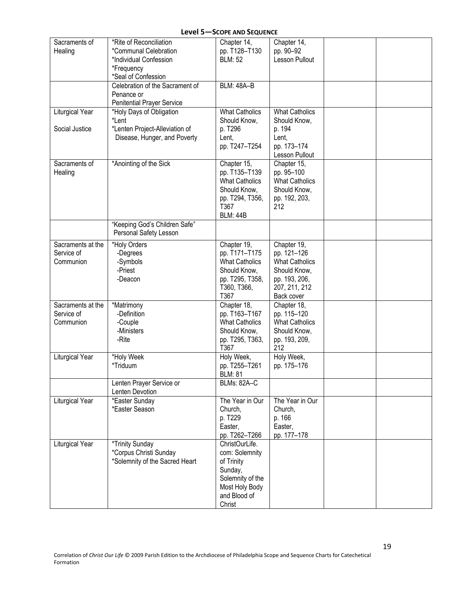| Sacraments of     | *Rite of Reconciliation         | Chapter 14,           | Chapter 14,           |  |
|-------------------|---------------------------------|-----------------------|-----------------------|--|
| Healing           | *Communal Celebration           | pp. T128-T130         | pp. 90-92             |  |
|                   | *Individual Confession          | <b>BLM: 52</b>        | Lesson Pullout        |  |
|                   | *Frequency                      |                       |                       |  |
|                   | *Seal of Confession             |                       |                       |  |
|                   | Celebration of the Sacrament of | <b>BLM: 48A-B</b>     |                       |  |
|                   | Penance or                      |                       |                       |  |
|                   | Penitential Prayer Service      |                       |                       |  |
| Liturgical Year   | *Holy Days of Obligation        | <b>What Catholics</b> | <b>What Catholics</b> |  |
|                   | *Lent                           | Should Know,          | Should Know,          |  |
| Social Justice    | *Lenten Project-Alleviation of  | p. T296               | p. 194                |  |
|                   | Disease, Hunger, and Poverty    | Lent,                 | Lent,                 |  |
|                   |                                 | pp. T247-T254         | pp. 173-174           |  |
|                   |                                 |                       | Lesson Pullout        |  |
| Sacraments of     | *Anointing of the Sick          | Chapter 15,           | Chapter 15,           |  |
| Healing           |                                 | pp. T135-T139         | pp. 95-100            |  |
|                   |                                 | <b>What Catholics</b> | <b>What Catholics</b> |  |
|                   |                                 | Should Know,          | Should Know,          |  |
|                   |                                 | pp. T294, T356,       | pp. 192, 203,         |  |
|                   |                                 | T367                  | 212                   |  |
|                   |                                 | <b>BLM: 44B</b>       |                       |  |
|                   | "Keeping God's Children Safe"   |                       |                       |  |
|                   | Personal Safety Lesson          |                       |                       |  |
| Sacraments at the | *Holy Orders                    | Chapter 19,           | Chapter 19,           |  |
| Service of        | -Degrees                        | pp. T171-T175         | pp. 121-126           |  |
| Communion         | -Symbols                        | <b>What Catholics</b> | <b>What Catholics</b> |  |
|                   | -Priest                         | Should Know,          | Should Know,          |  |
|                   | -Deacon                         | pp. T295, T358,       | pp. 193, 206,         |  |
|                   |                                 | T360, T366,           | 207, 211, 212         |  |
|                   |                                 | T367                  | Back cover            |  |
| Sacraments at the | *Matrimony                      | Chapter 18,           | Chapter 18,           |  |
| Service of        | -Definition                     | pp. T163-T167         | pp. 115-120           |  |
| Communion         | -Couple                         | <b>What Catholics</b> | <b>What Catholics</b> |  |
|                   | -Ministers                      | Should Know,          | Should Know,          |  |
|                   | -Rite                           | pp. T295, T363,       | pp. 193, 209,         |  |
|                   |                                 | T367                  | 212                   |  |
| Liturgical Year   | *Holy Week                      | Holy Week,            | Holy Week,            |  |
|                   | *Triduum                        | pp. T255-T261         | pp. 175-176           |  |
|                   |                                 | <b>BLM: 81</b>        |                       |  |
|                   | Lenten Prayer Service or        | <b>BLMs: 82A-C</b>    |                       |  |
|                   | Lenten Devotion                 |                       |                       |  |
| Liturgical Year   | *Easter Sunday                  | The Year in Our       | The Year in Our       |  |
|                   | *Easter Season                  | Church,               | Church,               |  |
|                   |                                 | p. T229               | p. 166                |  |
|                   |                                 | Easter,               | Easter,               |  |
|                   |                                 | pp. T262-T266         | pp. 177-178           |  |
| Liturgical Year   | *Trinity Sunday                 | ChristOurLife.        |                       |  |
|                   | *Corpus Christi Sunday          | com: Solemnity        |                       |  |
|                   | *Solemnity of the Sacred Heart  | of Trinity            |                       |  |
|                   |                                 | Sunday,               |                       |  |
|                   |                                 | Solemnity of the      |                       |  |
|                   |                                 | Most Holy Body        |                       |  |
|                   |                                 | and Blood of          |                       |  |
|                   |                                 | Christ                |                       |  |
|                   |                                 |                       |                       |  |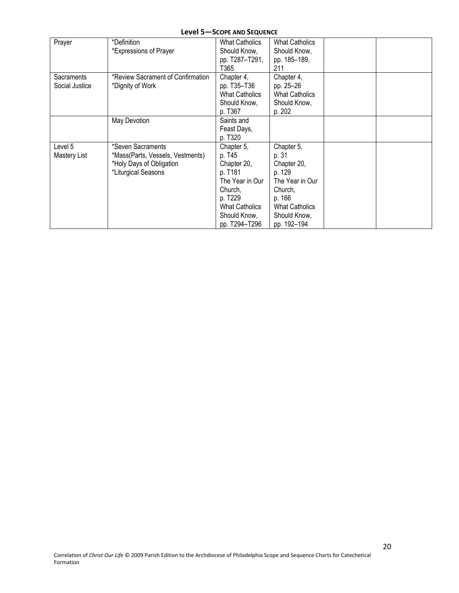| Prayer                       | *Definition<br>*Expressions of Prayer                                                                    | <b>What Catholics</b><br>Should Know,<br>pp. T287-T291,<br>T365                                                                                   | <b>What Catholics</b><br>Should Know,<br>pp. 185-189,<br>211                                                                                 |  |
|------------------------------|----------------------------------------------------------------------------------------------------------|---------------------------------------------------------------------------------------------------------------------------------------------------|----------------------------------------------------------------------------------------------------------------------------------------------|--|
| Sacraments<br>Social Justice | *Review Sacrament of Confirmation<br>*Dignity of Work                                                    | Chapter 4,<br>pp. T35-T36<br><b>What Catholics</b><br>Should Know,<br>p. T367                                                                     | Chapter 4,<br>pp. 25-26<br><b>What Catholics</b><br>Should Know,<br>p. 202                                                                   |  |
|                              | May Devotion                                                                                             | Saints and<br>Feast Days,<br>p. T320                                                                                                              |                                                                                                                                              |  |
| Level 5<br>Mastery List      | *Seven Sacraments<br>*Mass(Parts, Vessels, Vestments)<br>*Holy Days of Obligation<br>*Liturgical Seasons | Chapter 5,<br>p. T45<br>Chapter 20,<br>p. T181<br>The Year in Our<br>Church,<br>p. T229<br><b>What Catholics</b><br>Should Know,<br>pp. T294-T296 | Chapter 5,<br>p. 31<br>Chapter 20,<br>p. 129<br>The Year in Our<br>Church,<br>p. 166<br><b>What Catholics</b><br>Should Know,<br>pp. 192-194 |  |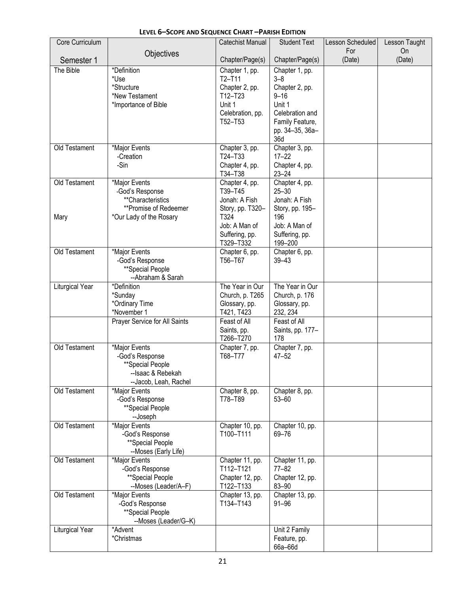| Core Curriculum |                                          | Catechist Manual                 | <b>Student Text</b>                | Lesson Scheduled | Lesson Taught |
|-----------------|------------------------------------------|----------------------------------|------------------------------------|------------------|---------------|
| Semester 1      | Objectives                               | Chapter/Page(s)                  | Chapter/Page(s)                    | For<br>(Date)    | On<br>(Date)  |
| The Bible       | *Definition                              | Chapter 1, pp.                   | Chapter 1, pp.                     |                  |               |
|                 | *Use<br>*Structure                       | $T2-T11$<br>Chapter 2, pp.       | $3 - 8$<br>Chapter 2, pp.          |                  |               |
|                 | *New Testament                           | T <sub>12</sub> -T <sub>23</sub> | $9 - 16$                           |                  |               |
|                 | *Importance of Bible                     | Unit 1                           | Unit 1                             |                  |               |
|                 |                                          | Celebration, pp.<br>T52-T53      | Celebration and<br>Family Feature, |                  |               |
|                 |                                          |                                  | pp. 34-35, 36a-<br>36d             |                  |               |
| Old Testament   | *Major Events<br>-Creation               | Chapter 3, pp.<br>T24-T33        | Chapter 3, pp.<br>$17 - 22$        |                  |               |
|                 | -Sin                                     | Chapter 4, pp.                   | Chapter 4, pp.                     |                  |               |
|                 |                                          | T34-T38                          | $23 - 24$                          |                  |               |
| Old Testament   | *Major Events<br>-God's Response         | Chapter 4, pp.<br>T39-T45        | Chapter 4, pp.<br>$25 - 30$        |                  |               |
|                 | **Characteristics                        | Jonah: A Fish                    | Jonah: A Fish                      |                  |               |
|                 | **Promise of Redeemer                    | Story, pp. T320-<br>T324         | Story, pp. 195-<br>196             |                  |               |
| Mary            | *Our Lady of the Rosary                  | Job: A Man of                    | Job: A Man of                      |                  |               |
|                 |                                          | Suffering, pp.                   | Suffering, pp.                     |                  |               |
| Old Testament   | *Major Events                            | T329-T332<br>Chapter 6, pp.      | 199-200<br>Chapter 6, pp.          |                  |               |
|                 | -God's Response                          | T56-T67                          | $39 - 43$                          |                  |               |
|                 | **Special People                         |                                  |                                    |                  |               |
| Liturgical Year | --Abraham & Sarah<br>*Definition         | The Year in Our                  | The Year in Our                    |                  |               |
|                 | *Sunday                                  | Church, p. T265                  | Church, p. 176                     |                  |               |
|                 | *Ordinary Time<br>*November 1            | Glossary, pp.<br>T421, T423      | Glossary, pp.<br>232, 234          |                  |               |
|                 | Prayer Service for All Saints            | Feast of All                     | Feast of All                       |                  |               |
|                 |                                          | Saints, pp.<br>T266-T270         | Saints, pp. 177-<br>178            |                  |               |
| Old Testament   | *Major Events<br>-God's Response         | Chapter 7, pp.<br>T68-T77        | Chapter 7, pp.<br>$47 - 52$        |                  |               |
|                 | **Special People                         |                                  |                                    |                  |               |
|                 | --Isaac & Rebekah                        |                                  |                                    |                  |               |
| Old Testament   | --Jacob, Leah, Rachel<br>*Major Events   | Chapter 8, pp.                   | Chapter 8, pp.                     |                  |               |
|                 | -God's Response                          | T78-T89                          | $53 - 60$                          |                  |               |
|                 | **Special People<br>--Joseph             |                                  |                                    |                  |               |
| Old Testament   | *Major Events                            | Chapter 10, pp.                  | Chapter 10, pp.                    |                  |               |
|                 | -God's Response                          | T100-T111                        | 69-76                              |                  |               |
|                 | **Special People<br>--Moses (Early Life) |                                  |                                    |                  |               |
| Old Testament   | *Major Events                            | Chapter 11, pp.                  | Chapter 11, pp.                    |                  |               |
|                 | -God's Response                          | T112-T121                        | $77 - 82$                          |                  |               |
|                 | **Special People<br>--Moses (Leader/A-F) | Chapter 12, pp.<br>T122-T133     | Chapter 12, pp.<br>83-90           |                  |               |
| Old Testament   | *Major Events                            | Chapter 13, pp.                  | Chapter 13, pp.                    |                  |               |
|                 | -God's Response<br>**Special People      | T134-T143                        | $91 - 96$                          |                  |               |
|                 | --Moses (Leader/G-K)                     |                                  |                                    |                  |               |
| Liturgical Year | *Advent                                  |                                  | Unit 2 Family                      |                  |               |
|                 | *Christmas                               |                                  | Feature, pp.<br>66a-66d            |                  |               |

#### **LEVEL 6–SCOPE AND SEQUENCE CHART –PARISH EDITION**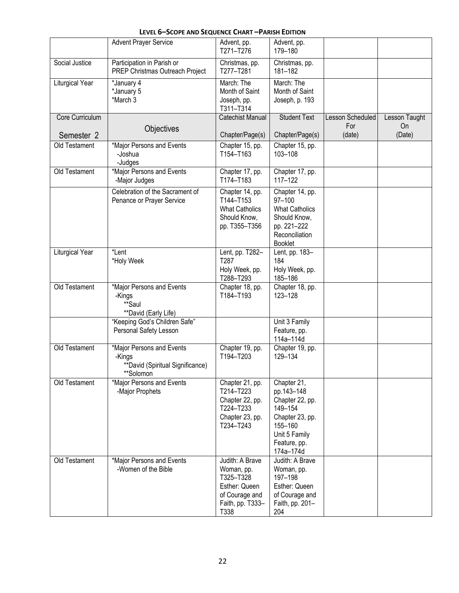| LEVEL 6-SCOPE AND SEQUENCE CHART-PARISH EDITION |  |  |
|-------------------------------------------------|--|--|
|-------------------------------------------------|--|--|

|                 | <b>Advent Prayer Service</b>                                                         | Advent, pp.<br>T271-T276                                                                                  | Advent, pp.<br>179-180                                                                                                              |                         |                     |
|-----------------|--------------------------------------------------------------------------------------|-----------------------------------------------------------------------------------------------------------|-------------------------------------------------------------------------------------------------------------------------------------|-------------------------|---------------------|
| Social Justice  | Participation in Parish or<br>PREP Christmas Outreach Project                        | Christmas, pp.<br>T277-T281                                                                               | Christmas, pp.<br>181-182                                                                                                           |                         |                     |
| Liturgical Year | *January 4<br>*January 5<br>*March 3                                                 | March: The<br>Month of Saint<br>Joseph, pp.<br>T311-T314                                                  | March: The<br>Month of Saint<br>Joseph, p. 193                                                                                      |                         |                     |
| Core Curriculum |                                                                                      | Catechist Manual                                                                                          | <b>Student Text</b>                                                                                                                 | Lesson Scheduled<br>For | Lesson Taught       |
| Semester 2      | Objectives                                                                           | Chapter/Page(s)                                                                                           | Chapter/Page(s)                                                                                                                     | (date)                  | <b>On</b><br>(Date) |
| Old Testament   | *Major Persons and Events<br>-Joshua<br>-Judges                                      | Chapter 15, pp.<br>T154-T163                                                                              | Chapter 15, pp.<br>103-108                                                                                                          |                         |                     |
| Old Testament   | *Major Persons and Events<br>-Major Judges                                           | Chapter 17, pp.<br>T174-T183                                                                              | Chapter 17, pp.<br>$117 - 122$                                                                                                      |                         |                     |
|                 | Celebration of the Sacrament of<br>Penance or Prayer Service                         | Chapter 14, pp.<br>T144-T153<br><b>What Catholics</b><br>Should Know,<br>pp. T355-T356                    | Chapter 14, pp.<br>97-100<br><b>What Catholics</b><br>Should Know,<br>pp. 221-222<br>Reconciliation<br><b>Booklet</b>               |                         |                     |
| Liturgical Year | *Lent<br>*Holy Week                                                                  | Lent, pp. T282-<br>T287<br>Holy Week, pp.<br>T288-T293                                                    | Lent, pp. 183-<br>184<br>Holy Week, pp.<br>185-186                                                                                  |                         |                     |
| Old Testament   | *Major Persons and Events<br>-Kings<br>**Saul<br>**David (Early Life)                | Chapter 18, pp.<br>T184-T193                                                                              | Chapter 18, pp.<br>123-128                                                                                                          |                         |                     |
|                 | "Keeping God's Children Safe"<br>Personal Safety Lesson                              |                                                                                                           | Unit 3 Family<br>Feature, pp.<br>114a-114d                                                                                          |                         |                     |
| Old Testament   | *Major Persons and Events<br>-Kings<br>**David (Spiritual Significance)<br>**Solomon | Chapter 19, pp.<br>T194-T203                                                                              | Chapter 19, pp.<br>129-134                                                                                                          |                         |                     |
| Old Testament   | *Major Persons and Events<br>-Major Prophets                                         | Chapter 21, pp.<br>T214-T223<br>Chapter 22, pp.<br>T224-T233<br>Chapter 23, pp.<br>T234-T243              | Chapter 21,<br>pp.143-148<br>Chapter 22, pp.<br>149-154<br>Chapter 23, pp.<br>155-160<br>Unit 5 Family<br>Feature, pp.<br>174a-174d |                         |                     |
| Old Testament   | *Major Persons and Events<br>-Women of the Bible                                     | Judith: A Brave<br>Woman, pp.<br>T325-T328<br>Esther: Queen<br>of Courage and<br>Faith, pp. T333-<br>T338 | Judith: A Brave<br>Woman, pp.<br>197-198<br>Esther: Queen<br>of Courage and<br>Faith, pp. 201-<br>204                               |                         |                     |